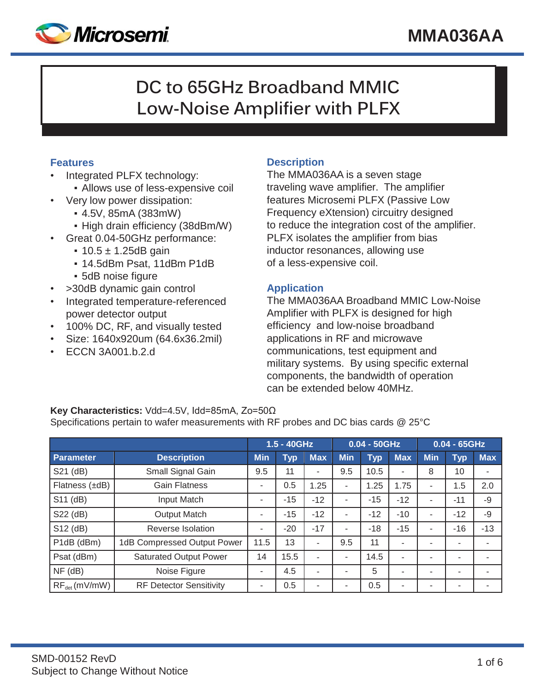

# **DC to 65GHz Broadband MMIC Low-Noise Amplifier with PLFX**

## **Features**

- Integrated PLFX technology:
	- Allows use of less-expensive coil
	- Very low power dissipation:
		- 4.5V, 85mA (383mW)
		- High drain efficiency (38dBm/W)
- Great 0.04-50GHz performance:
	- $\cdot$  10.5  $\pm$  1.25dB gain
	- 14.5dBm Psat, 11dBm P1dB
	- 5dB noise figure
- >30dB dynamic gain control
- Integrated temperature-referenced power detector output
- 100% DC, RF, and visually tested
- Size: 1640x920um (64.6x36.2mil)
- ECCN 3A001.b.2.d

## **Description**

The MMA036AA is a seven stage traveling wave amplifier. The amplifier features Microsemi PLFX (Passive Low Frequency eXtension) circuitry designed to reduce the integration cost of the amplifier. PLFX isolates the amplifier from bias inductor resonances, allowing use of a less-expensive coil.

## **Application**

The MMA036AA Broadband MMIC Low-Noise Amplifier with PLFX is designed for high efficiency and low-noise broadband applications in RF and microwave communications, test equipment and military systems. By using specific external components, the bandwidth of operation can be extended below 40MHz.

#### **Key Characteristics:** Vdd=4.5V, Idd=85mA, Zo=50Ω

Specifications pertain to wafer measurements with RF probes and DC bias cards @ 25°C

|                   |                                | 1.5 - 40GHz |            |                          | $0.04 - 50$ GHz |            |                | $0.04 - 65$ GHz |                          |            |
|-------------------|--------------------------------|-------------|------------|--------------------------|-----------------|------------|----------------|-----------------|--------------------------|------------|
| Parameter         | <b>Description</b>             | <b>Min</b>  | <b>Typ</b> | <b>Max</b>               | <b>Min</b>      | <b>Typ</b> | <b>Max</b>     | <b>Min</b>      | <b>Typ</b>               | <b>Max</b> |
| S21 (dB)          | Small Signal Gain              | 9.5         | 11         | ٠                        | 9.5             | 10.5       | ۰              | 8               | 10                       |            |
| Flatness (±dB)    | <b>Gain Flatness</b>           | ٠           | 0.5        | 1.25                     | ٠               | 1.25       | 1.75           |                 | 1.5                      | 2.0        |
| S11 (dB)          | Input Match                    | -           | $-15$      | $-12$                    | ۰               | $-15$      | $-12$          |                 | $-11$                    | $-9$       |
| S22 (dB)          | <b>Output Match</b>            | ۰           | $-15$      | $-12$                    | ۰               | $-12$      | $-10$          |                 | $-12$                    | $-9$       |
| S12 (dB)          | Reverse Isolation              | ٠           | $-20$      | $-17$                    | ٠               | $-18$      | $-15$          |                 | $-16$                    | $-13$      |
| P1dB (dBm)        | 1dB Compressed Output Power    | 11.5        | 13         | $\blacksquare$           | 9.5             | 11         | $\blacksquare$ |                 | ۰                        |            |
| Psat (dBm)        | <b>Saturated Output Power</b>  | 14          | 15.5       | $\overline{\phantom{a}}$ | ۰               | 14.5       | ٠              |                 | $\overline{\phantom{a}}$ |            |
| $NF$ ( $dB$ )     | Noise Figure                   | ٠           | 4.5        | $\overline{\phantom{a}}$ |                 | 5          |                |                 | $\overline{\phantom{a}}$ |            |
| $RF_{det}(mV/mW)$ | <b>RF Detector Sensitivity</b> | ۰           | 0.5        | ٠                        |                 | 0.5        | ۰              |                 | ٠                        |            |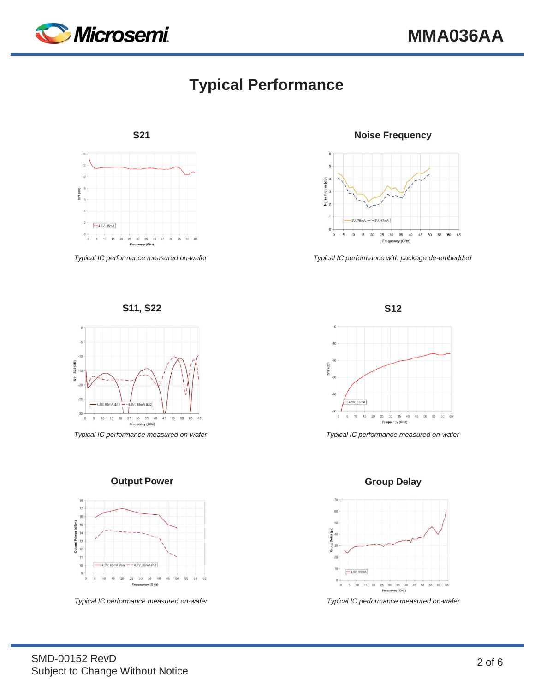

# **Typical Performance**



**S11, S22 S12**



*Typical IC performance measured on-wafer Typical IC performance measured on-wafer*





*Typical IC performance measured on-wafer Typical IC performance measured on-wafer*

**S21 Noise Frequency**



*Typical IC performance measured on-wafer Typical IC performance with package de-embedded*



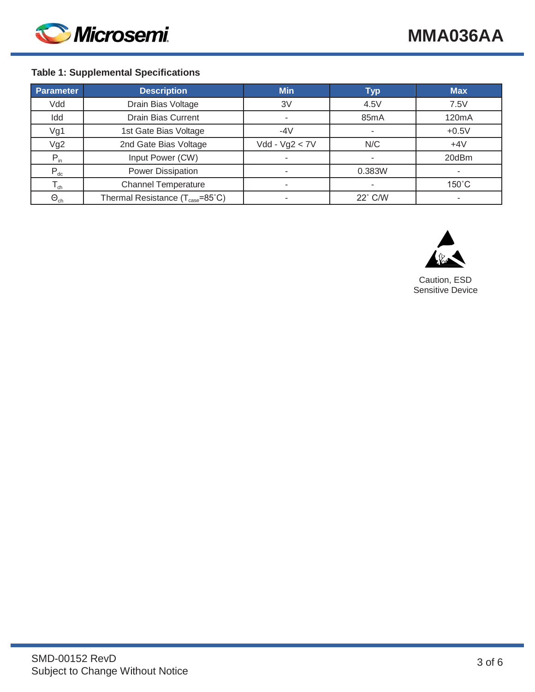

## **Table 1: Supplemental Specifications**

| <b>Parameter</b>           | <b>Description</b>                                           | <b>Min</b>       | <b>Typ</b>        | <b>Max</b>      |
|----------------------------|--------------------------------------------------------------|------------------|-------------------|-----------------|
| Vdd                        | Drain Bias Voltage                                           | 3V               | 4.5V              | 7.5V            |
| Idd                        | <b>Drain Bias Current</b>                                    |                  | 85 <sub>m</sub> A | 120mA           |
| Vg1                        | 1st Gate Bias Voltage                                        | $-4V$            |                   | $+0.5V$         |
| Vg2                        | 2nd Gate Bias Voltage                                        | $Vdd - Vg2 < 7V$ | N/C               | $+4V$           |
| $P_{in}$                   | Input Power (CW)                                             |                  |                   | 20dBm           |
| $P_{dc}$                   | Power Dissipation                                            |                  | 0.383W            |                 |
| $\mathsf{T}_{\mathsf{ch}}$ | <b>Channel Temperature</b>                                   |                  |                   | $150^{\circ}$ C |
| $\Theta_{\rm ch}$          | Thermal Resistance $(T_{\text{case}} = 85^{\circ} \text{C})$ |                  | 22° C/W           |                 |



Caution, ESD Sensitive Device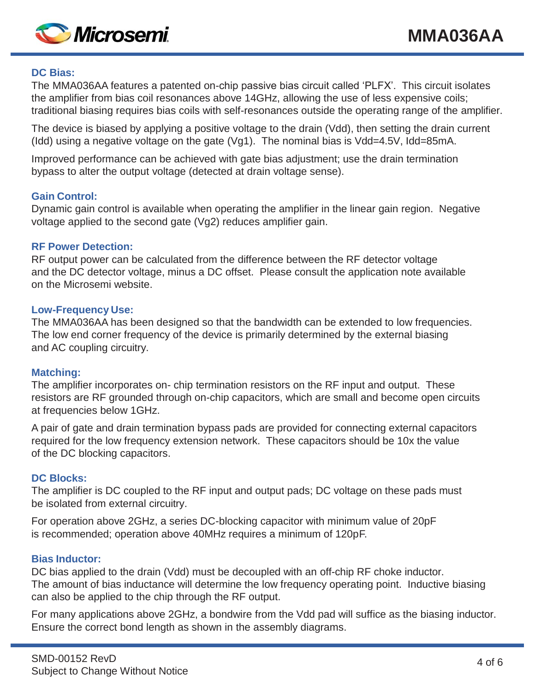

#### **DC Bias:**

The MMA036AA features a patented on-chip passive bias circuit called 'PLFX'. This circuit isolates the amplifier from bias coil resonances above 14GHz, allowing the use of less expensive coils; traditional biasing requires bias coils with self-resonances outside the operating range of the amplifier.

The device is biased by applying a positive voltage to the drain (Vdd), then setting the drain current (Idd) using a negative voltage on the gate (Vg1). The nominal bias is Vdd=4.5V, Idd=85mA.

Improved performance can be achieved with gate bias adjustment; use the drain termination bypass to alter the output voltage (detected at drain voltage sense).

## **Gain Control:**

Dynamic gain control is available when operating the amplifier in the linear gain region. Negative voltage applied to the second gate (Vg2) reduces amplifier gain.

## **RF Power Detection:**

RF output power can be calculated from the difference between the RF detector voltage and the DC detector voltage, minus a DC offset. Please consult the application note available on the Microsemi website.

#### **Low-Frequency Use:**

The MMA036AA has been designed so that the bandwidth can be extended to low frequencies. The low end corner frequency of the device is primarily determined by the external biasing and AC coupling circuitry.

## **Matching:**

The amplifier incorporates on- chip termination resistors on the RF input and output. These resistors are RF grounded through on-chip capacitors, which are small and become open circuits at frequencies below 1GHz.

A pair of gate and drain termination bypass pads are provided for connecting external capacitors required for the low frequency extension network. These capacitors should be 10x the value of the DC blocking capacitors.

## **DC Blocks:**

The amplifier is DC coupled to the RF input and output pads; DC voltage on these pads must be isolated from external circuitry.

For operation above 2GHz, a series DC-blocking capacitor with minimum value of 20pF is recommended; operation above 40MHz requires a minimum of 120pF.

#### **Bias Inductor:**

DC bias applied to the drain (Vdd) must be decoupled with an off-chip RF choke inductor. The amount of bias inductance will determine the low frequency operating point. Inductive biasing can also be applied to the chip through the RF output.

For many applications above 2GHz, a bondwire from the Vdd pad will suffice as the biasing inductor. Ensure the correct bond length as shown in the assembly diagrams.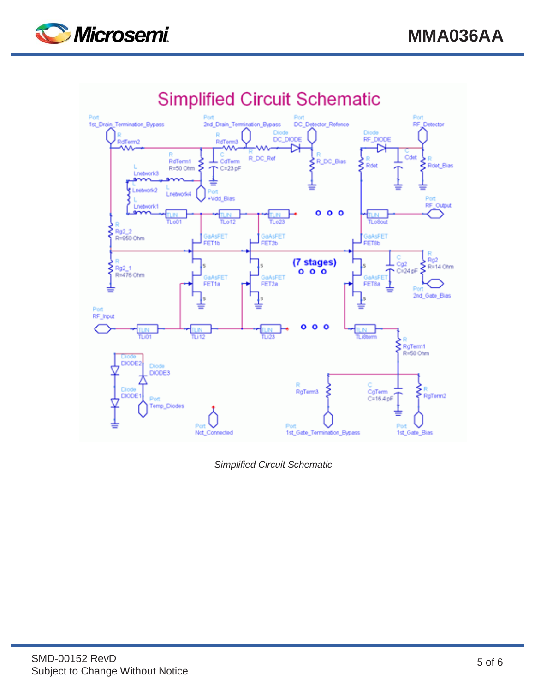



*Simplified Circuit Schematic*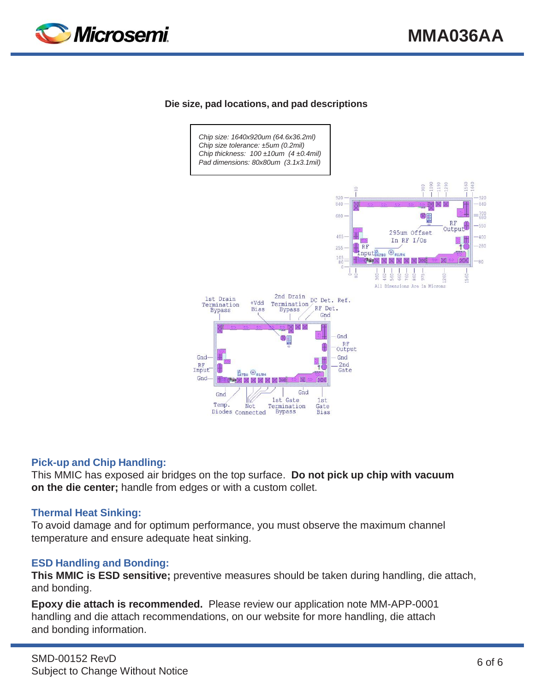

#### **Die size, pad locations, and pad descriptions**



#### **Pick-up and Chip Handling:**

This MMIC has exposed air bridges on the top surface. **Do not pick up chip with vacuum on the die center;** handle from edges or with a custom collet.

#### **Thermal Heat Sinking:**

To avoid damage and for optimum performance, you must observe the maximum channel temperature and ensure adequate heat sinking.

#### **ESD Handling and Bonding:**

**This MMIC is ESD sensitive;** preventive measures should be taken during handling, die attach, and bonding.

**Epoxy die attach is recommended.** Please review our application note MM-APP-0001 handling and die attach recommendations, on our website for more handling, die attach and bonding information.